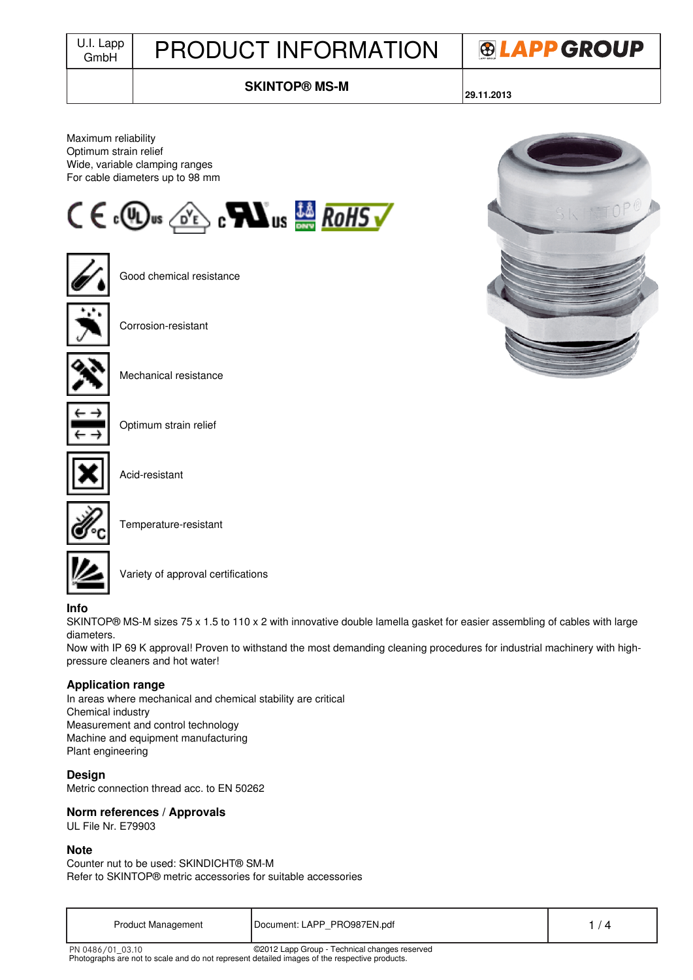# J.I. Lapp | PRODUCT INFORMATION



# **SKINTOP® MS-M**

**29.11.2013**

Maximum reliability Optimum strain relief Wide, variable clamping ranges For cable diameters up to 98 mm





Good chemical resistance





Corrosion-resistant



Mechanical resistance



Optimum strain relief



Acid-resistant



Temperature-resistant



Variety of approval certifications

## **Info**

SKINTOP® MS-M sizes 75 x 1.5 to 110 x 2 with innovative double lamella gasket for easier assembling of cables with large diameters.

Now with IP 69 K approval! Proven to withstand the most demanding cleaning procedures for industrial machinery with highpressure cleaners and hot water!

### **Application range**

In areas where mechanical and chemical stability are critical Chemical industry Measurement and control technology Machine and equipment manufacturing Plant engineering

### **Design**

Metric connection thread acc. to EN 50262

### **Norm references / Approvals**

UL File Nr. E79903

#### **Note**

Counter nut to be used: SKINDICHT® SM-M Refer to SKINTOP® metric accessories for suitable accessories

| <b>Product Management</b> | Document: LAPP_PRO987EN.pdf |  |
|---------------------------|-----------------------------|--|
|---------------------------|-----------------------------|--|

PN 0486/01\_03.10

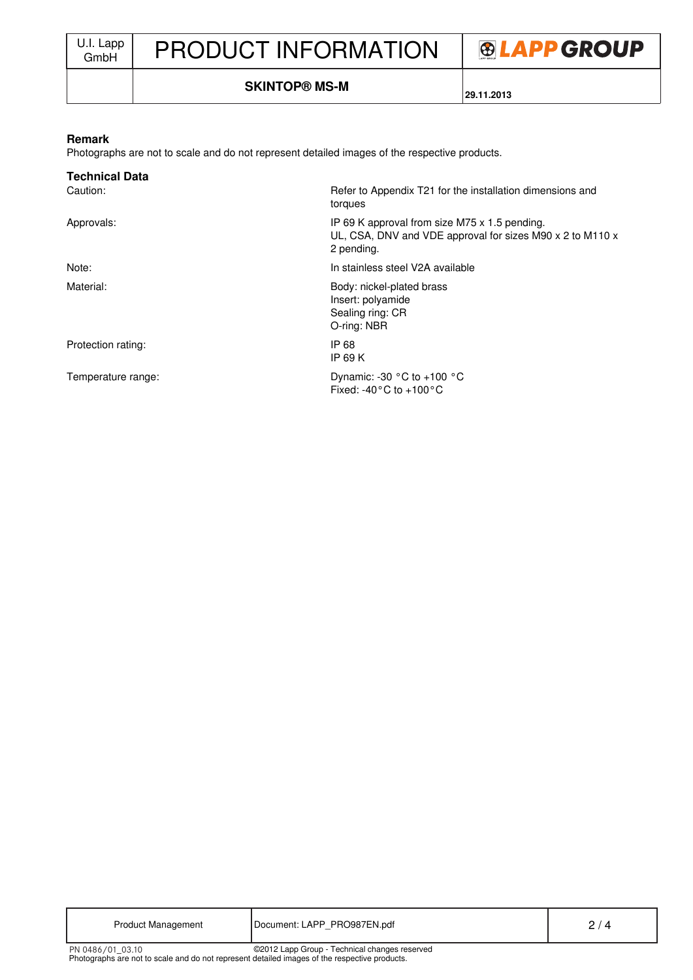

## **SKINTOP® MS-M**

**29.11.2013**

#### **Remark**

Photographs are not to scale and do not represent detailed images of the respective products.

| <b>Technical Data</b> |                                                                                                                          |
|-----------------------|--------------------------------------------------------------------------------------------------------------------------|
| Caution:              | Refer to Appendix T21 for the installation dimensions and<br>torques                                                     |
| Approvals:            | IP 69 K approval from size M75 x 1.5 pending.<br>UL, CSA, DNV and VDE approval for sizes M90 x 2 to M110 x<br>2 pending. |
| Note:                 | In stainless steel V2A available                                                                                         |
| Material:             | Body: nickel-plated brass<br>Insert: polyamide<br>Sealing ring: CR<br>O-ring: NBR                                        |
| Protection rating:    | IP 68<br>IP 69 $K$                                                                                                       |
| Temperature range:    | Dynamic: -30 $\degree$ C to +100 $\degree$ C<br>Fixed: -40 $^{\circ}$ C to +100 $^{\circ}$ C                             |

| <b>Product Management</b>                                                                                         | Document: LAPP PRO987EN.pdf                   | 2/4 |
|-------------------------------------------------------------------------------------------------------------------|-----------------------------------------------|-----|
| PN 0486/01 03.10<br>Photographs are not to scale and do not represent detailed images of the respective products. | ©2012 Lapp Group - Technical changes reserved |     |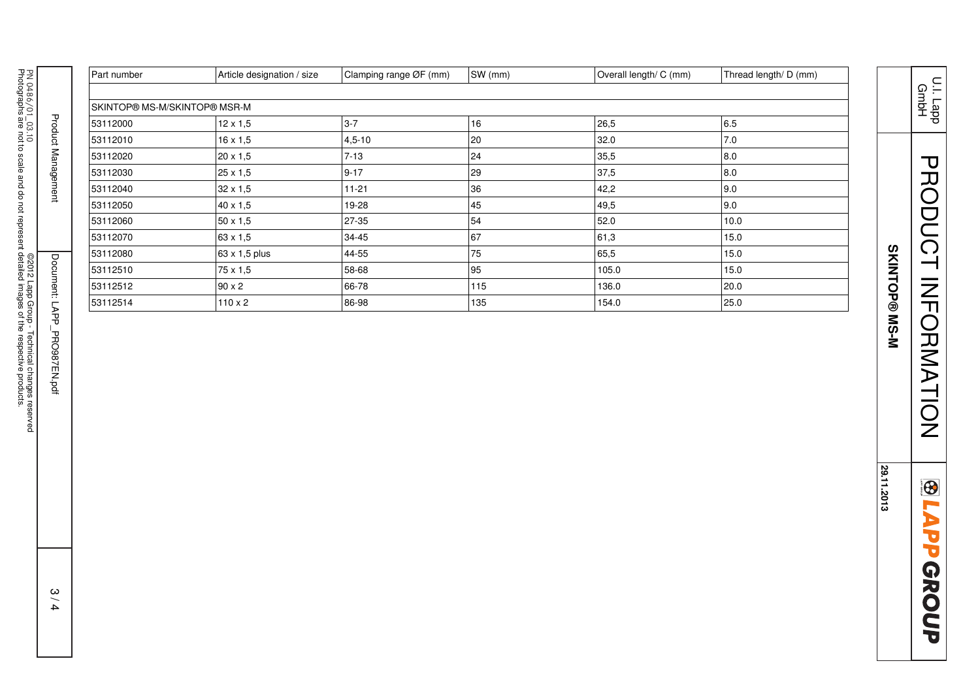|                                               |                             | Part number                  | Article designation / size | Clamping range ØF (mm) | SW (mm) | Overall length/ C (mm) | Thread length/ D (mm) |
|-----------------------------------------------|-----------------------------|------------------------------|----------------------------|------------------------|---------|------------------------|-----------------------|
|                                               |                             |                              |                            |                        |         |                        |                       |
|                                               |                             | SKINTOP® MS-M/SKINTOP® MSR-M |                            |                        |         |                        |                       |
| PN 0486/01_03.10                              | <b>Product Management</b>   | 53112000                     | $12 \times 1,5$            | $3-7$                  | 16      | 26,5                   | 6.5                   |
|                                               |                             | 53112010                     | 16 x 1,5                   | $4,5-10$               | 20      | 32.0                   | 7.0                   |
|                                               |                             | 53112020                     | 20 x 1,5                   | $7 - 13$               | 24      | 35,5                   | 8.0                   |
|                                               |                             | 53112030                     | 25 x 1,5                   | $9 - 17$               | 29      | 37,5                   | 8.0                   |
|                                               |                             | 53112040                     | $32\times1,5$              | $11 - 21$              | 36      | 42,2                   | 9.0                   |
|                                               |                             | 53112050                     | 40 x 1,5                   | 19-28                  | 45      | 49,5                   | 9.0                   |
|                                               |                             | 53112060                     | $50 \times 1,5$            | 27-35                  | 54      | 52.0                   | 10.0                  |
|                                               |                             | 53112070                     | 63 x 1,5                   | 34-45                  | 67      | 61,3                   | 15.0                  |
|                                               |                             | 53112080                     | 63 x 1,5 plus              | 44-55                  | 75      | 65,5                   | 15.0                  |
|                                               |                             | 53112510                     | 75 x 1,5                   | 58-68                  | 95      | 105.0                  | 15.0                  |
|                                               |                             | 53112512                     | $90 \times 2$              | 66-78                  | 115     | 136.0                  | 20.0                  |
|                                               |                             | 53112514                     | $110 \times 2$             | 86-98                  | 135     | 154.0                  | 25.0                  |
| ©2012 Lapp Group - Technical changes reserved | Document: LAPP_PRO987EN.pdf |                              |                            |                        |         |                        |                       |
|                                               | 3/4                         |                              |                            |                        |         |                        |                       |

PRODUCT INFORMATION PRODUCT INFORMATION **BLAPPGROUP** 

**SKINTOP® MS-M** 

SKINTOP® MS-M

**29.11.2013**

29.11.2013

U.I. Lapp GmbH